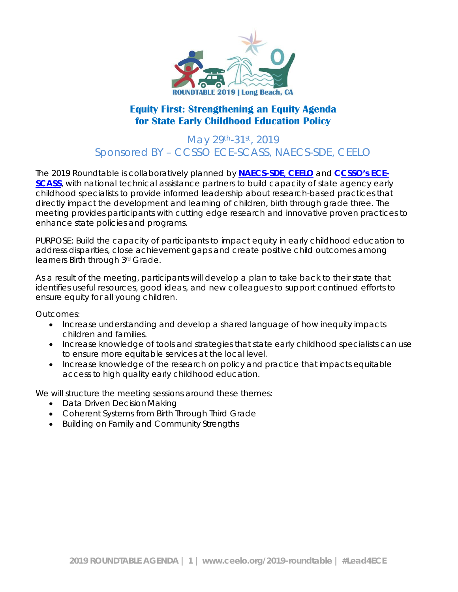

## **Equity First: Strengthening an Equity Agenda for State Early Childhood Education Policy**

## May 29th-31st, 2019 Sponsored BY – CCSSO ECE-SCASS, NAECS-SDE, CEELO

The 2019 Roundtable is collaboratively planned by **[NAECS-SDE](http://www.naecs-sde.org/)**, **[CEELO](http://www.naecs-sde.org/)** and **[CCSSO's ECE-](https://ccsso.org/topics/early-childhood-education)[SCASS](https://ccsso.org/topics/early-childhood-education)**, with national technical assistance partners to build capacity of state agency early childhood specialists to provide informed leadership about research-based practices that directly impact the development and learning of children, birth through grade three. The meeting provides participants with cutting edge research and innovative proven practices to enhance state policies and programs.

PURPOSE: Build the capacity of participants to impact equity in early childhood education to address disparities, close achievement gaps and create positive child outcomes among learners Birth through 3rd Grade.

As a result of the meeting, participants will develop a plan to take back to their state that identifies useful resources, good ideas, and new colleagues to support continued efforts to ensure equity for all young children.

Outcomes:

- Increase understanding and develop a shared language of how inequity impacts children and families.
- Increase knowledge of tools and strategies that state early childhood specialists can use to ensure more equitable services at the local level.
- Increase knowledge of the research on policy and practice that impacts equitable access to high quality early childhood education.

We will structure the meeting sessions around these themes:

- Data Driven Decision Making
- Coherent Systems from Birth Through Third Grade
- Building on Family and Community Strengths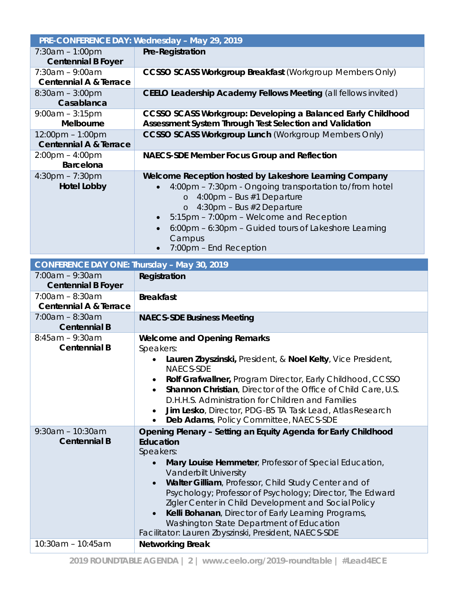|                                                                         | PRE-CONFERENCE DAY: Wednesday - May 29, 2019                                                                                                                                                                                                                                                                                                                                                                                                                                                                                                               |  |  |
|-------------------------------------------------------------------------|------------------------------------------------------------------------------------------------------------------------------------------------------------------------------------------------------------------------------------------------------------------------------------------------------------------------------------------------------------------------------------------------------------------------------------------------------------------------------------------------------------------------------------------------------------|--|--|
| $7:30am - 1:00pm$<br><b>Centennial B Foyer</b>                          | <b>Pre-Registration</b>                                                                                                                                                                                                                                                                                                                                                                                                                                                                                                                                    |  |  |
| $7:30am - 9:00am$<br><b>Centennial A &amp; Terrace</b>                  | <b>CCSSO SCASS Workgroup Breakfast (Workgroup Members Only)</b>                                                                                                                                                                                                                                                                                                                                                                                                                                                                                            |  |  |
| $8:30am - 3:00pm$<br>Casablanca                                         | CEELO Leadership Academy Fellows Meeting (all fellows invited)                                                                                                                                                                                                                                                                                                                                                                                                                                                                                             |  |  |
| $9:00am - 3:15pm$                                                       | <b>CCSSO SCASS Workgroup: Developing a Balanced Early Childhood</b>                                                                                                                                                                                                                                                                                                                                                                                                                                                                                        |  |  |
| <b>Melbourne</b>                                                        | Assessment System Through Test Selection and Validation                                                                                                                                                                                                                                                                                                                                                                                                                                                                                                    |  |  |
| $12:00 \text{pm} - 1:00 \text{pm}$<br><b>Centennial A &amp; Terrace</b> | <b>CCSSO SCASS Workgroup Lunch (Workgroup Members Only)</b>                                                                                                                                                                                                                                                                                                                                                                                                                                                                                                |  |  |
| $2:00 \text{pm} - 4:00 \text{pm}$                                       | <b>NAECS-SDE Member Focus Group and Reflection</b>                                                                                                                                                                                                                                                                                                                                                                                                                                                                                                         |  |  |
| <b>Barcelona</b>                                                        |                                                                                                                                                                                                                                                                                                                                                                                                                                                                                                                                                            |  |  |
| $4:30$ pm – 7:30pm<br><b>Hotel Lobby</b>                                | Welcome Reception hosted by Lakeshore Learning Company<br>4:00pm - 7:30pm - Ongoing transportation to/from hotel<br>$\circ$ 4:00pm - Bus #1 Departure<br>$\circ$ 4:30pm - Bus #2 Departure<br>5:15pm - 7:00pm - Welcome and Reception<br>6:00pm - 6:30pm - Guided tours of Lakeshore Learning<br>Campus<br>7:00pm - End Reception<br>$\bullet$                                                                                                                                                                                                             |  |  |
| CONFERENCE DAY ONE: Thursday - May 30, 2019                             |                                                                                                                                                                                                                                                                                                                                                                                                                                                                                                                                                            |  |  |
| $7:00am - 9:30am$<br><b>Centennial B Foyer</b>                          | Registration                                                                                                                                                                                                                                                                                                                                                                                                                                                                                                                                               |  |  |
| $7:00am - 8:30am$<br><b>Centennial A &amp; Terrace</b>                  | <b>Breakfast</b>                                                                                                                                                                                                                                                                                                                                                                                                                                                                                                                                           |  |  |
| $7:00am - 8:30am$<br><b>Centennial B</b>                                | <b>NAECS-SDE Business Meeting</b>                                                                                                                                                                                                                                                                                                                                                                                                                                                                                                                          |  |  |
|                                                                         |                                                                                                                                                                                                                                                                                                                                                                                                                                                                                                                                                            |  |  |
| $8:45am - 9:30am$<br><b>Centennial B</b>                                | <b>Welcome and Opening Remarks</b><br>Speakers:<br>Lauren Zbyszinski, President, & Noel Kelty, Vice President,<br>NAECS-SDE<br>Rolf Grafwallner, Program Director, Early Childhood, CCSSO<br><b>Shannon Christian, Director of the Office of Child Care, U.S.</b><br>D.H.H.S. Administration for Children and Families<br>Jim Lesko, Director, PDG-B5 TA Task Lead, Atlas Research<br>Deb Adams, Policy Committee, NAECS-SDE<br>$\bullet$                                                                                                                  |  |  |
| $9:30am - 10:30am$<br><b>Centennial B</b><br>10:30am - 10:45am          | Opening Plenary - Setting an Equity Agenda for Early Childhood<br>Education<br>Speakers:<br>Mary Louise Hemmeter, Professor of Special Education,<br>Vanderbilt University<br>Walter Gilliam, Professor, Child Study Center and of<br>Psychology; Professor of Psychology; Director, The Edward<br>Zigler Center in Child Development and Social Policy<br>Kelli Bohanan, Director of Early Learning Programs,<br>$\bullet$<br>Washington State Department of Education<br>Facilitator: Lauren Zbyszinski, President, NAECS-SDE<br><b>Networking Break</b> |  |  |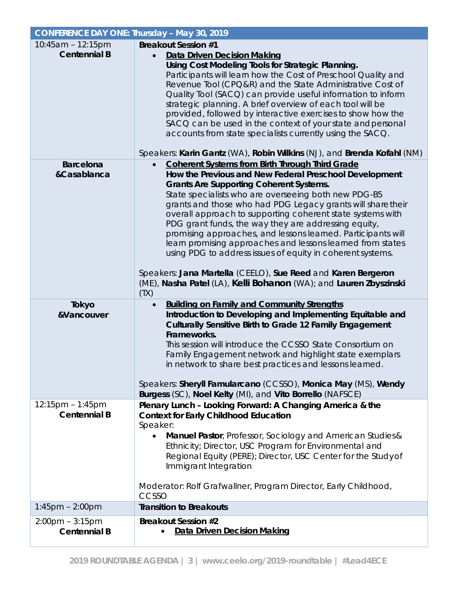| <b>CONFERENCE DAY ONE: Thursday - May 30, 2019</b>       |                                                                                                                                                                                                                                                                                                                                                                                                                                                                                                                                                                                                                                                                                                                                                                       |
|----------------------------------------------------------|-----------------------------------------------------------------------------------------------------------------------------------------------------------------------------------------------------------------------------------------------------------------------------------------------------------------------------------------------------------------------------------------------------------------------------------------------------------------------------------------------------------------------------------------------------------------------------------------------------------------------------------------------------------------------------------------------------------------------------------------------------------------------|
| 10:45am - 12:15pm<br><b>Centennial B</b>                 | <b>Breakout Session #1</b><br><b>Data Driven Decision Making</b><br>Using Cost Modeling Tools for Strategic Planning.<br>Participants will learn how the Cost of Preschool Quality and<br>Revenue Tool (CPQ&R) and the State Administrative Cost of<br>Quality Tool (SACQ) can provide useful information to inform<br>strategic planning. A brief overview of each tool will be<br>provided, followed by interactive exercises to show how the<br>SACQ can be used in the context of your state and personal<br>accounts from state specialists currently using the SACQ.<br>Speakers: Karin Gantz (WA), Robin Wilkins (NJ), and Brenda Kofahl (NM)                                                                                                                  |
| <b>Barcelona</b><br>&Casablanca                          | <b>Coherent Systems from Birth Through Third Grade</b><br>$\bullet$<br>How the Previous and New Federal Preschool Development<br><b>Grants Are Supporting Coherent Systems.</b><br>State specialists who are overseeing both new PDG-B5<br>grants and those who had PDG Legacy grants will share their<br>overall approach to supporting coherent state systems with<br>PDG grant funds, the way they are addressing equity,<br>promising approaches, and lessons learned. Participants will<br>learn promising approaches and lessons learned from states<br>using PDG to address issues of equity in coherent systems.<br>Speakers: Jana Martella (CEELO), Sue Reed and Karen Bergeron<br>(ME), Nasha Patel (LA), Kelli Bohanon (WA); and Lauren Zbyszinski<br>(TX) |
| Tokyo<br>&Vancouver                                      | <b>Building on Family and Community Strengths</b><br>Introduction to Developing and Implementing Equitable and<br>Culturally Sensitive Birth to Grade 12 Family Engagement<br>Frameworks.<br>This session will introduce the CCSSO State Consortium on<br>Family Engagement network and highlight state exemplars<br>in network to share best practices and lessons learned.<br>Speakers: Sheryll Famularcano (CCSSO), Monica May (MS), Wendy<br>Burgess (SC), Noel Kelty (MI), and Vito Borrello (NAFSCE)                                                                                                                                                                                                                                                            |
| $12:15$ pm – 1:45pm<br><b>Centennial B</b>               | Plenary Lunch - Looking Forward: A Changing America & the<br><b>Context for Early Childhood Education</b><br>Speaker:<br>Manuel Pastor, Professor, Sociology and American Studies &<br>Ethnicity; Director, USC Program for Environmental and<br>Regional Equity (PERE); Director, USC Center for the Study of<br>Immigrant Integration<br>Moderator: Rolf Grafwallner, Program Director, Early Childhood,<br>CCSSO                                                                                                                                                                                                                                                                                                                                                   |
| $1:45$ pm $- 2:00$ pm                                    | <b>Transition to Breakouts</b>                                                                                                                                                                                                                                                                                                                                                                                                                                                                                                                                                                                                                                                                                                                                        |
| $2:00 \text{pm} - 3:15 \text{pm}$<br><b>Centennial B</b> | <b>Breakout Session #2</b><br>Data Driven Decision Making                                                                                                                                                                                                                                                                                                                                                                                                                                                                                                                                                                                                                                                                                                             |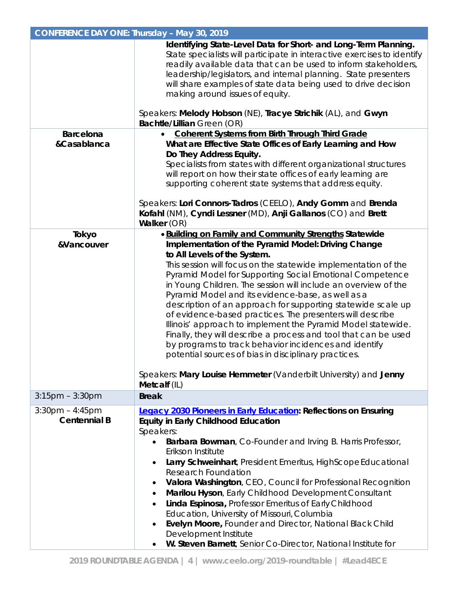| <b>CONFERENCE DAY ONE: Thursday - May 30, 2019</b> |                                                                                                                                                                                                                                                                                                                                                                                                                                                                                                                                                                                                                                                                                                                                                                                                               |  |
|----------------------------------------------------|---------------------------------------------------------------------------------------------------------------------------------------------------------------------------------------------------------------------------------------------------------------------------------------------------------------------------------------------------------------------------------------------------------------------------------------------------------------------------------------------------------------------------------------------------------------------------------------------------------------------------------------------------------------------------------------------------------------------------------------------------------------------------------------------------------------|--|
|                                                    | Identifying State-Level Data for Short- and Long-Term Planning.<br>State specialists will participate in interactive exercises to identify<br>readily available data that can be used to inform stakeholders,<br>leadership/legislators, and internal planning. State presenters<br>will share examples of state data being used to drive decision<br>making around issues of equity.<br>Speakers: Melody Hobson (NE), Tracye Strichik (AL), and Gwyn                                                                                                                                                                                                                                                                                                                                                         |  |
| <b>Barcelona</b>                                   | <b>Bachtle/Lillian Green (OR)</b><br><b>Coherent Systems from Birth Through Third Grade</b><br>$\bullet$                                                                                                                                                                                                                                                                                                                                                                                                                                                                                                                                                                                                                                                                                                      |  |
| &Casablanca                                        | What are Effective State Offices of Early Learning and How<br>Do They Address Equity.<br>Specialists from states with different organizational structures<br>will report on how their state offices of early learning are<br>supporting coherent state systems that address equity.<br>Speakers: Lori Connors-Tadros (CEELO), Andy Gomm and Brenda<br>Kofahl (NM), Cyndi Lessner (MD), Anji Gallanos (CO) and Brett<br>Walker (OR)                                                                                                                                                                                                                                                                                                                                                                            |  |
| Tokyo                                              | <b>.</b> Building on Family and Community Strengths Statewide                                                                                                                                                                                                                                                                                                                                                                                                                                                                                                                                                                                                                                                                                                                                                 |  |
| &Vancouver                                         | Implementation of the Pyramid Model: Driving Change<br>to All Levels of the System.<br>This session will focus on the statewide implementation of the<br>Pyramid Model for Supporting Social Emotional Competence<br>in Young Children. The session will include an overview of the<br>Pyramid Model and its evidence-base, as well as a<br>description of an approach for supporting statewide scale up<br>of evidence-based practices. The presenters will describe<br>Illinois' approach to implement the Pyramid Model statewide.<br>Finally, they will describe a process and tool that can be used<br>by programs to track behavior incidences and identify<br>potential sources of bias in disciplinary practices.<br>Speakers: Mary Louise Hemmeter (Vanderbilt University) and Jenny<br>Metcalf (IL) |  |
| $3:15$ pm $-3:30$ pm                               | <b>Break</b>                                                                                                                                                                                                                                                                                                                                                                                                                                                                                                                                                                                                                                                                                                                                                                                                  |  |
| $3:30$ pm $-4:45$ pm<br><b>Centennial B</b>        | <b>Legacy 2030 Pioneers in Early Education: Reflections on Ensuring</b><br><b>Equity in Early Childhood Education</b><br>Speakers:<br>Barbara Bowman, Co-Founder and Irving B. Harris Professor,<br>$\bullet$<br>Erikson Institute<br>Larry Schweinhart, President Emeritus, HighScope Educational<br><b>Research Foundation</b><br>Valora Washington, CEO, Council for Professional Recognition<br>$\bullet$<br>Marilou Hyson, Early Childhood Development Consultant<br>$\bullet$<br>Linda Espinosa, Professor Emeritus of Early Childhood<br>Education, University of Missouri, Columbia<br>Evelyn Moore, Founder and Director, National Black Child<br>Development Institute<br>W. Steven Barnett, Senior Co-Director, National Institute for                                                             |  |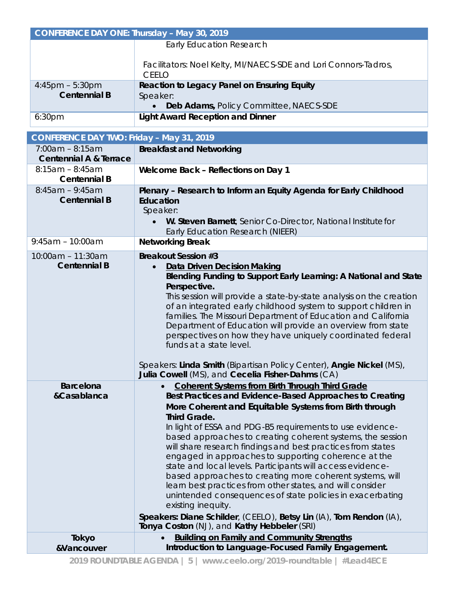| CONFERENCE DAY ONE: Thursday - May 30, 2019 |                                                                                                                |  |
|---------------------------------------------|----------------------------------------------------------------------------------------------------------------|--|
|                                             | Early Education Research                                                                                       |  |
|                                             | Facilitators: Noel Kelty, MI/NAECS-SDE and Lori Connors-Tadros,<br>CFFI O                                      |  |
| $4:45$ pm – 5:30pm<br><b>Centennial B</b>   | Reaction to Legacy Panel on Ensuring Equity<br>Speaker:<br>Deb Adams, Policy Committee, NAECS-SDE<br>$\bullet$ |  |
| 6:30 <sub>pm</sub>                          | <b>Light Award Reception and Dinner</b>                                                                        |  |

| <b>CONFERENCE DAY TWO: Friday - May 31, 2019</b>       |                                                                                                                                                                                                                                                                                                                                                                                                                                                                                                                                                                                                                                                                                                                                                                                                                                                                    |  |
|--------------------------------------------------------|--------------------------------------------------------------------------------------------------------------------------------------------------------------------------------------------------------------------------------------------------------------------------------------------------------------------------------------------------------------------------------------------------------------------------------------------------------------------------------------------------------------------------------------------------------------------------------------------------------------------------------------------------------------------------------------------------------------------------------------------------------------------------------------------------------------------------------------------------------------------|--|
| $7:00am - 8:15am$<br><b>Centennial A &amp; Terrace</b> | <b>Breakfast and Networking</b>                                                                                                                                                                                                                                                                                                                                                                                                                                                                                                                                                                                                                                                                                                                                                                                                                                    |  |
| $8:15am - 8:45am$<br><b>Centennial B</b>               | Welcome Back - Reflections on Day 1                                                                                                                                                                                                                                                                                                                                                                                                                                                                                                                                                                                                                                                                                                                                                                                                                                |  |
| $8:45am - 9:45am$<br><b>Centennial B</b>               | Plenary - Research to Inform an Equity Agenda for Early Childhood<br>Education<br>Speaker:<br>W. Steven Barnett, Senior Co-Director, National Institute for<br>$\bullet$<br>Early Education Research (NIEER)                                                                                                                                                                                                                                                                                                                                                                                                                                                                                                                                                                                                                                                       |  |
| $9:45am - 10:00am$                                     | <b>Networking Break</b>                                                                                                                                                                                                                                                                                                                                                                                                                                                                                                                                                                                                                                                                                                                                                                                                                                            |  |
| 10:00am - 11:30am<br><b>Centennial B</b>               | <b>Breakout Session #3</b><br><b>Data Driven Decision Making</b><br>$\bullet$<br>Blending Funding to Support Early Learning: A National and State<br>Perspective.<br>This session will provide a state-by-state analysis on the creation<br>of an integrated early childhood system to support children in<br>families. The Missouri Department of Education and California<br>Department of Education will provide an overview from state<br>perspectives on how they have uniquely coordinated federal<br>funds at a state level.<br>Speakers: Linda Smith (Bipartisan Policy Center), Angie Nickel (MS),<br>Julia Cowell (MS), and Cecelia Fisher-Dahms (CA)                                                                                                                                                                                                    |  |
| <b>Barcelona</b><br>&Casablanca                        | <b>Coherent Systems from Birth Through Third Grade</b><br>$\bullet$<br>Best Practices and Evidence-Based Approaches to Creating<br>More Coherent and Equitable Systems from Birth through<br><b>Third Grade.</b><br>In light of ESSA and PDG-B5 requirements to use evidence-<br>based approaches to creating coherent systems, the session<br>will share research findings and best practices from states<br>engaged in approaches to supporting coherence at the<br>state and local levels. Participants will access evidence-<br>based approaches to creating more coherent systems, will<br>learn best practices from other states, and will consider<br>unintended consequences of state policies in exacerbating<br>existing inequity.<br>Speakers: Diane Schilder, (CEELO), Betsy Lin (IA), Tom Rendon (IA),<br>Tonya Coston (NJ), and Kathy Hebbeler (SRI) |  |
| Tokyo                                                  | <b>Building on Family and Community Strengths</b>                                                                                                                                                                                                                                                                                                                                                                                                                                                                                                                                                                                                                                                                                                                                                                                                                  |  |
| &Vancouver                                             | Introduction to Language-Focused Family Engagement.                                                                                                                                                                                                                                                                                                                                                                                                                                                                                                                                                                                                                                                                                                                                                                                                                |  |